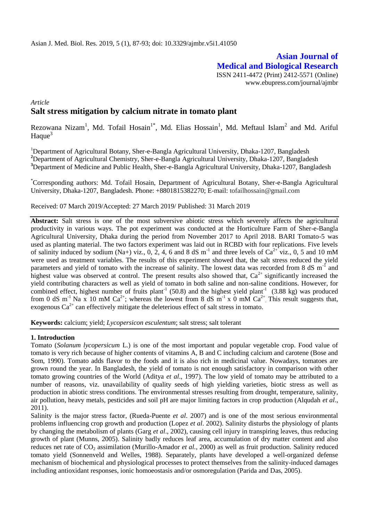# **Asian Journal of Medical and Biological Research** ISSN 2411-4472 (Print) 2412-5571 (Online) www.ebupress.com/journal/ajmbr

# *Article* **Salt stress mitigation by calcium nitrate in tomato plant**

Rezowana Nizam<sup>1</sup>, Md. Tofail Hosain<sup>1\*</sup>, Md. Elias Hossain<sup>1</sup>, Md. Meftaul Islam<sup>2</sup> and Md. Ariful Haque $3$ 

<sup>1</sup>Department of Agricultural Botany, Sher-e-Bangla Agricultural University, Dhaka-1207, Bangladesh <sup>2</sup>Department of Agricultural Chemistry, Sher-e-Bangla Agricultural University, Dhaka-1207, Bangladesh **<sup>3</sup>**Department of Medicine and Public Health, Sher-e-Bangla Agricultural University, Dhaka-1207, Bangladesh

\*Corresponding authors: Md. Tofail Hosain, Department of Agricultural Botany, Sher-e-Bangla Agricultural University, Dhaka-1207, Bangladesh. Phone: +8801815382270; E-mail: tofailhossain@gmail.com

Received: 07 March 2019/Accepted: 27 March 2019/ Published: 31 March 2019

**Abstract:** Salt stress is one of the most subversive abiotic stress which severely affects the agricultural productivity in various ways. The pot experiment was conducted at the Horticulture Farm of Sher-e-Bangla Agricultural University, Dhaka during the period from November 2017 to April 2018. BARI Tomato-5 was used as planting material. The two factors experiment was laid out in RCBD with four replications. Five levels of salinity induced by sodium (Na+) viz., 0, 2, 4, 6 and 8 dS m<sup>-1</sup> and three levels of Ca<sup>2+</sup> viz., 0, 5 and 10 mM were used as treatment variables. The results of this experiment showed that, the salt stress reduced the yield parameters and yield of tomato with the increase of salinity. The lowest data was recorded from 8 dS m<sup>-1</sup> and highest value was observed at control. The present results also showed that,  $Ca<sup>2+</sup>$  significantly increased the yield contributing characters as well as yield of tomato in both saline and non-saline conditions. However, for combined effect, highest number of fruits plant<sup>-1</sup> (50.8) and the highest yield plant<sup>-1</sup> (3.88 kg) was produced from 0 dS m<sup>-1</sup> Na x 10 mM Ca<sup>2+</sup>; whereas the lowest from 8 dS m<sup>-1</sup> x 0 mM Ca<sup>2+</sup>. This result suggests that, exogenous  $Ca^{2+}$  can effectively mitigate the deleterious effect of salt stress in tomato.

**Keywords:** calcium; yield; *Lycopersicon esculentum*; salt stress; salt tolerant

# **1. Introduction**

Tomato (*Solanum lycopersicum* L*.*) is one of the most important and popular vegetable crop. Food value of tomato is very rich because of higher contents of vitamins A, B and C including calcium and carotene (Bose and Som, 1990). Tomato adds flavor to the foods and it is also rich in medicinal value. Nowadays, tomatoes are grown round the year. In Bangladesh, the yield of tomato is not enough satisfactory in comparison with other tomato growing countries of the World (Aditya *et al*., 1997). The low yield of tomato may be attributed to a number of reasons, viz. unavailability of quality seeds of high yielding varieties, biotic stress as well as production in abiotic stress conditions. The environmental stresses resulting from drought, temperature, salinity, air pollution, heavy metals, pesticides and soil pH are major limiting factors in crop production (Alqudah *et al*., 2011).

Salinity is the major stress factor, (Rueda-Puente *et al*. 2007) and is one of the most serious environmental problems influencing crop growth and production (Lopez *et al*. 2002). Salinity disturbs the physiology of plants by changing the metabolism of plants (Garg *et al*., 2002), causing cell injury in transpiring leaves, thus reducing growth of plant (Munns, 2005). Salinity badly reduces leaf area, accumulation of dry matter content and also reduces net rate of CO<sup>2</sup> assimilation (Murillo-Amador *et al.*, 2000) as well as fruit production. Salinity reduced tomato yield (Sonnenveld and Welles, 1988). Separately, plants have developed a well-organized defense mechanism of biochemical and physiological processes to protect themselves from the salinity-induced damages including antioxidant responses, ionic homoeostasis and/or osmoregulation (Parida and Das, 2005).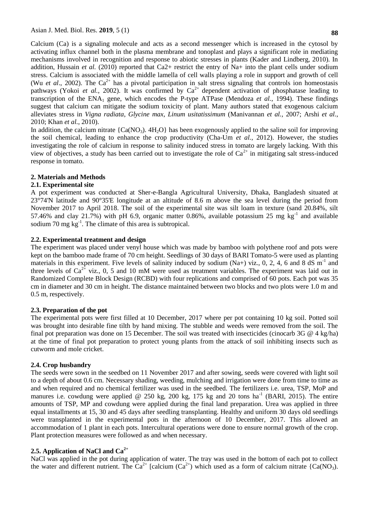Calcium (Ca) is a signaling molecule and acts as a second messenger which is increased in the cytosol by activating influx channel both in the plasma membrane and tonoplast and plays a significant role in mediating mechanisms involved in recognition and response to abiotic stresses in plants (Kader and Lindberg, 2010). In addition, Hussain *et al.* (2010) reported that Ca2+ restrict the entry of Na+ into the plant cells under sodium stress. Calcium is associated with the middle lamella of cell walls playing a role in support and growth of cell (Wu *et al.*, 2002). The  $Ca^{2+}$  has a pivotal participation in salt stress signaling that controls ion homeostasis pathways (Yokoi *et al.*, 2002). It was confirmed by  $Ca^{2+}$  dependent activation of phosphatase leading to transcription of the  $ENA<sub>1</sub>$  gene, which encodes the P-type ATPase (Mendoza *et al.*, 1994). These findings suggest that calcium can mitigate the sodium toxicity of plant. Many authors stated that exogenous calcium alleviates stress in *Vigna radiata*, *Glycine max*, *Linum usitatissimum* (Manivannan *et al.,* 2007; Arshi *et al.*, 2010; Khan *et al.*, 2010).

In addition, the calcium nitrate  ${Ca(NO_3)}$ .  $4H_2O$  has been exogenously applied to the saline soil for improving the soil chemical, leading to enhance the crop productivity (Cha-Um *et al.*, 2012). However, the studies investigating the role of calcium in response to salinity induced stress in tomato are largely lacking. With this view of objectives, a study has been carried out to investigate the role of  $Ca^{2+}$  in mitigating salt stress-induced response in tomato.

# **2. Materials and Methods**

# **2.1. Experimental site**

A pot experiment was conducted at Sher-e-Bangla Agricultural University, Dhaka, Bangladesh situated at 23°74'N latitude and 90°35'E longitude at an altitude of 8.6 m above the sea level during the period from November 2017 to April 2018. The soil of the experimental site was silt loam in texture (sand 20.84%, silt 57.46% and clay 21.7%) with pH 6.9, organic matter 0.86%, available potassium 25 mg kg<sup>-1</sup> and available sodium 70 mg  $\text{kg}^{-1}$ . The climate of this area is subtropical.

# **2.2. Experimental treatment and design**

The experiment was placed under venyl house which was made by bamboo with polythene roof and pots were kept on the bamboo made frame of 70 cm height. Seedlings of 30 days of BARI Tomato-5 were used as planting materials in this experiment. Five levels of salinity induced by sodium (Na+) viz., 0, 2, 4, 6 and 8 dS  $m^{-1}$  and three levels of  $Ca^{2+}$  viz., 0, 5 and 10 mM were used as treatment variables. The experiment was laid out in Randomized Complete Block Design (RCBD) with four replications and comprised of 60 pots. Each pot was 35 cm in diameter and 30 cm in height. The distance maintained between two blocks and two plots were 1.0 m and 0.5 m, respectively.

# **2.3. Preparation of the pot**

The experimental pots were first filled at 10 December, 2017 where per pot containing 10 kg soil. Potted soil was brought into desirable fine tilth by hand mixing. The stubble and weeds were removed from the soil. The final pot preparation was done on 15 December. The soil was treated with insecticides (cinocarb 3G @ 4 kg/ha) at the time of final pot preparation to protect young plants from the attack of soil inhibiting insects such as cutworm and mole cricket.

# **2.4. Crop husbandry**

The seeds were sown in the seedbed on 11 November 2017 and after sowing, seeds were covered with light soil to a depth of about 0.6 cm. Necessary shading, weeding, mulching and irrigation were done from time to time as and when required and no chemical fertilizer was used in the seedbed. The fertilizers i.e. urea, TSP, MoP and manures i.e. cowdung were applied @ 250 kg, 200 kg, 175 kg and 20 tons  $ha^{-1}$  (BARI, 2015). The entire amounts of TSP, MP and cowdung were applied during the final land preparation. Urea was applied in three equal installments at 15, 30 and 45 days after seedling transplanting. Healthy and uniform 30 days old seedlings were transplanted in the experimental pots in the afternoon of 10 December, 2017. This allowed an accommodation of 1 plant in each pots. Intercultural operations were done to ensure normal growth of the crop. Plant protection measures were followed as and when necessary.

# **2.5. Application of NaCl and Ca2+**

NaCl was applied in the pot during application of water. The tray was used in the bottom of each pot to collect the water and different nutrient. The  $Ca^{2+}$  [calcium ( $Ca^{2+}$ ) which used as a form of calcium nitrate {Ca(NO<sub>3</sub>).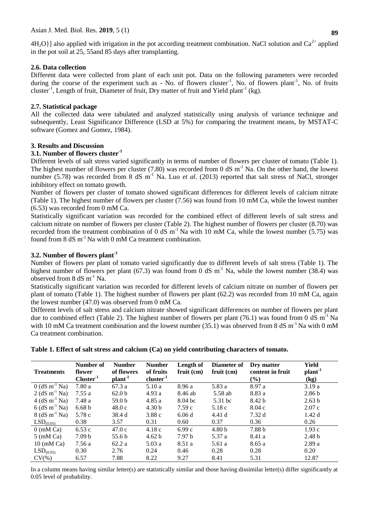$4H<sub>2</sub>O$ }] also applied with irrigation in the pot according treatment combination. NaCl solution and Ca<sup>2+</sup> applied in the pot soil at 25, 55and 85 days after transplanting.

# **2.6. Data collection**

Different data were collected from plant of each unit pot. Data on the following parameters were recorded during the course of the experiment such as - No. of flowers cluster<sup>-1</sup>, No. of flowers plant<sup>-1</sup>, No. of fruits cluster<sup>-1</sup>, Length of fruit, Diameter of fruit, Dry matter of fruit and Yield plant<sup>-1</sup> (kg).

# **2.7. Statistical package**

All the collected data were tabulated and analyzed statistically using analysis of variance technique and subsequently, Least Significance Difference (LSD at 5%) for comparing the treatment means, by MSTAT-C software (Gomez and Gomez, 1984).

### **3. Results and Discussion**

# **3.1. Number of flowers cluster-1**

Different levels of salt stress varied significantly in terms of number of flowers per cluster of tomato (Table 1). The highest number of flowers per cluster (7.80) was recorded from 0 dS  $m^{-1}$  Na. On the other hand, the lowest number (5.78) was recorded from 8 dS m<sup>-1</sup> Na. Luo *et al.* (2013) reported that salt stress of NaCl, stronger inhibitory effect on tomato growth.

Number of flowers per cluster of tomato showed significant differences for different levels of calcium nitrate (Table 1). The highest number of flowers per cluster (7.56) was found from 10 mM Ca, while the lowest number (6.53) was recorded from 0 mM Ca.

Statistically significant variation was recorded for the combined effect of different levels of salt stress and calcium nitrate on number of flowers per cluster (Table 2). The highest number of flowers per cluster (8.70) was recorded from the treatment combination of 0 dS  $m^{-1}$  Na with 10 mM Ca, while the lowest number (5.75) was found from  $8 \text{ dS m}^{-1}$  Na with 0 mM Ca treatment combination.

# **3.2. Number of flowers plant-1**

Number of flowers per plant of tomato varied significantly due to different levels of salt stress (Table 1). The highest number of flowers per plant (67.3) was found from 0 dS  $m^{-1}$  Na, while the lowest number (38.4) was observed from 8 dS m-1 Na.

Statistically significant variation was recorded for different levels of calcium nitrate on number of flowers per plant of tomato (Table 1). The highest number of flowers per plant (62.2) was recorded from 10 mM Ca, again the lowest number (47.0) was observed from 0 mM Ca.

Different levels of salt stress and calcium nitrate showed significant differences on number of flowers per plant due to combined effect (Table 2). The highest number of flowers per plant (76.1) was found from 0 dS  $m^{-1}$  Na with 10 mM Ca treatment combination and the lowest number  $(35.1)$  was observed from 8 dS m<sup>-1</sup> Na with 0 mM Ca treatment combination.

**Table 1. Effect of salt stress and calcium (Ca) on yield contributing characters of tomato.**

| <b>Treatments</b>           | Number of<br>flower<br>$Cluster-1$ | <b>Number</b><br>of flowers<br>plant <sup>-1</sup> | <b>Number</b><br>of fruits<br>$cluster-1$ | Length of<br>$fruit$ (cm) | Diameter of<br>$fruit$ (cm) | Dry matter<br>content in fruit<br>$(\%)$ | Yield<br>plant <sup>1</sup><br>(kg) |
|-----------------------------|------------------------------------|----------------------------------------------------|-------------------------------------------|---------------------------|-----------------------------|------------------------------------------|-------------------------------------|
| $0$ (dS m <sup>-1</sup> Na) | 7.80 a                             | 67.3a                                              | 5.10a                                     | 8.96 a                    | 5.83 a                      | 8.97 a                                   | 3.19a                               |
| 2 (dS m <sup>-1</sup> Na)   | 7.55a                              | 62.0 <sub>b</sub>                                  | 4.93a                                     | 8.46 ab                   | 5.58 ab                     | 8.83 a                                   | 2.86 <sub>b</sub>                   |
| $4$ (dS m <sup>-1</sup> Na) | 7.48 a                             | 59.0 <sub>b</sub>                                  | 4.85a                                     | $8.04$ bc                 | 5.31 bc                     | 8.42 b                                   | 2.63 <sub>b</sub>                   |
| $6$ (dS m <sup>-1</sup> Na) | 6.68 <sub>b</sub>                  | 48.0c                                              | 4.30 <sub>b</sub>                         | 7.59c                     | 5.18c                       | 8.04c                                    | 2.07c                               |
| $8$ (dS m <sup>-1</sup> Na) | 5.78 c                             | 38.4 d                                             | 3.88c                                     | 6.06d                     | 4.41d                       | 7.32d                                    | 1.42d                               |
| LSD <sub>(0.05)</sub>       | 0.38                               | 3.57                                               | 0.31                                      | 0.60                      | 0.37                        | 0.36                                     | 0.26                                |
| $0 \text{ (mM Ca)}$         | 6.53c                              | 47.0c                                              | 4.18c                                     | 6.99c                     | 4.80 <sub>b</sub>           | 7.88 b                                   | 1.93c                               |
| $5 \text{ (mM Ca)}$         | 7.09 <sub>b</sub>                  | 55.6 b                                             | 4.62 b                                    | 7.97 <sub>b</sub>         | 5.37 a                      | 8.41 a                                   | 2.48 <sub>b</sub>                   |
| $10 \text{ (mM Ca)}$        | 7.56 a                             | 62.2a                                              | 5.03a                                     | 8.51 a                    | 5.61 a                      | 8.65a                                    | 2.89a                               |
| LSD <sub>(0.05)</sub>       | 0.30                               | 2.76                                               | 0.24                                      | 0.46                      | 0.28                        | 0.28                                     | 0.20                                |
| $CV(\%)$                    | 6.57                               | 7.88                                               | 8.22                                      | 9.27                      | 8.41                        | 5.31                                     | 12.87                               |

In a column means having similar letter(s) are statistically similar and those having dissimilar letter(s) differ significantly at 0.05 level of probability.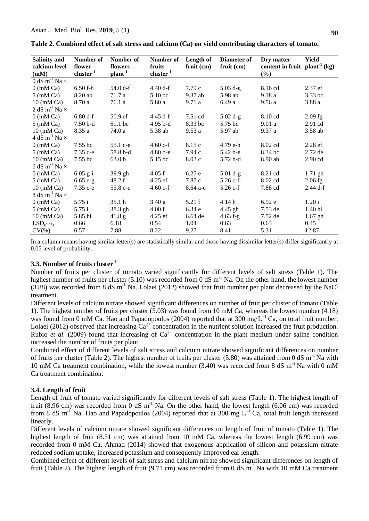| <b>Salinity and</b>              | Number of   | Number of          | Number of      | Length of    | Diameter of | Dry matter                               | Yield     |
|----------------------------------|-------------|--------------------|----------------|--------------|-------------|------------------------------------------|-----------|
| calcium level                    | flower      | flowers            | fruits         | $fruit$ (cm) | fruit (cm)  | content in fruit plant <sup>1</sup> (kg) |           |
| (mM)                             | $cluster-1$ | plant <sup>1</sup> | $cluster^{-1}$ |              |             | $(\%)$                                   |           |
| 0 dS m <sup>-1</sup> Na $\times$ |             |                    |                |              |             |                                          |           |
| $0$ (mM Ca)                      | $6.50$ f-h  | 54.0 d-f           | 4.40 d-f       | 7.79c        | $5.03 d-g$  | 8.16 cd                                  | 2.37 ef   |
| $5$ (mM Ca)                      | 8.20 ab     | 71.7 a             | 5.10 bc        | $9.37$ ab    | 5.98 ab     | 9.18a                                    | 3.33 bc   |
| $10 \text{ (mM Ca)}$             | 8.70 a      | 76.1 a             | 5.80 a         | 9.71a        | 6.49 a      | 9.56 a                                   | 3.88a     |
| 2 dS m <sup>-1</sup> Na $\times$ |             |                    |                |              |             |                                          |           |
| $0 \text{ (mM Ca)}$              | $6.80 d-f$  | 50.9 ef            | 4.45 d-f       | 7.51 cd      | $5.02 d-g$  | 8.10 cd                                  | $2.09$ fg |
| $5 \text{ (mM Ca)}$              | $7.50b-d$   | 61.1 bc            | $4.95 b-d$     | 8.33 bc      | 5.75 bc     | 9.01a                                    | 2.91 cd   |
| $10 \text{ (mM Ca)}$             | 8.35a       | 74.0 a             | 5.38 ab        | 9.53a        | 5.97 ab     | 9.37a                                    | 3.58 ab   |
| 4 dS m <sup>-1</sup> Na $\times$ |             |                    |                |              |             |                                          |           |
| $0$ (mM Ca)                      | 7.55 bc     | 55.1 c-e           | 4.60 $c$ -f    | 8.15 c       | 4.79 e-h    | 8.02 cd                                  | $2.28$ ef |
| $5 \text{ (mM Ca)}$              | $7.35c-e$   | 58.8 b-d           | $4.80b-e$      | 7.94c        | 5.42 b-e    | 8.34 bc                                  | $2.72$ de |
| $10 \text{ (mM Ca)}$             | 7.55 bc     | 63.0 <sub>b</sub>  | 5.15 bc        | 8.03c        | 5.72 b-d    | 8.90 ab                                  | $2.90$ cd |
| 6 dS m <sup>-1</sup> Na $\times$ |             |                    |                |              |             |                                          |           |
| $0$ (mM Ca)                      | $6.05$ g-i  | 39.9 gh            | 4.05 f         | 6.27e        | $5.01 d-g$  | 8.21 cd                                  | $1.71$ gh |
| $5 \text{ (mM Ca)}$              | $6.65 e-g$  | 48.2 f             | $4.25$ ef      | 7.87 c       | $5.26 c-f$  | 8.02 cd                                  | $2.06$ fg |
| $10 \text{ (mM Ca)}$             | $7.35c-e$   | 55.8 c-e           | $4.60 c-f$     | 8.64 a-c     | $5.26 c-f$  | 7.88 cd                                  | 2.44 d-f  |
| 8 dS m <sup>-1</sup> Na $\times$ |             |                    |                |              |             |                                          |           |
| $0$ (mM Ca)                      | 5.75 i      | 35.1 h             | 3.40 g         | 5.21 f       | 4.14 h      | 6.92e                                    | 1.20i     |
| $5 \text{ (mM Ca)}$              | 5.75i       | 38.3 gh            | 4.00 f         | 6.34e        | 4.45 gh     | $7.53$ de                                | 1.40 hi   |
| $10 \text{ (mM Ca)}$             | 5.85 hi     | 41.8 g             | $4.25$ ef      | 6.64 de      | 4.63 $f-g$  | 7.52 de                                  | $1.67$ gh |
| LSD <sub>(0.05)</sub>            | 0.66        | 6.18               | 0.54           | 1.04         | 0.63        | 0.63                                     | 0.45      |
| $CV(\% )$                        | 6.57        | 7.88               | 8.22           | 9.27         | 8.41        | 5.31                                     | 12.87     |

| Table 2. Combined effect of salt stress and calcium (Ca) on yield contributing characters of tomato. |
|------------------------------------------------------------------------------------------------------|
|------------------------------------------------------------------------------------------------------|

In a column means having similar letter(s) are statistically similar and those having dissimilar letter(s) differ significantly at 0.05 level of probability.

# **3.3. Number of fruits cluster-1**

Number of fruits per cluster of tomato varied significantly for different levels of salt stress (Table 1). The highest number of fruits per cluster (5.10) was recorded from 0 dS  $m^{-1}$  Na. On the other hand, the lowest number  $(3.88)$  was recorded from 8 dS m<sup>-1</sup> Na. Lolaei (2012) showed that fruit number per plant decreased by the NaCl treatment.

Different levels of calcium nitrate showed significant differences on number of fruit per cluster of tomato (Table 1). The highest number of fruits per cluster (5.03) was found from 10 mM Ca, whereas the lowest number (4.18) was found from 0 mM Ca. Hao and Papadopoulos (2004) reported that at 300 mg·L<sup>-1</sup> Ca, on total fruit number. Lolaei (2012) observed that increasing  $Ca^{2+}$  concentration in the nutrient solution increased the fruit production. Rubio *et al.* (2009) found that increasing of  $Ca^{2+}$  concentration in the plant medium under saline condition increased the number of fruits per plant.

Combined effect of different levels of salt stress and calcium nitrate showed significant differences on number of fruits per cluster (Table 2). The highest number of fruits per cluster (5.80) was attained from 0 dS m<sup>-1</sup> Na with 10 mM Ca treatment combination, while the lowest number (3.40) was recorded from 8 dS m<sup>-1</sup> Na with 0 mM Ca treatment combination.

#### **3.4. Length of fruit**

Length of fruit of tomato varied significantly for different levels of salt stress (Table 1). The highest length of fruit (8.96 cm) was recorded from 0 dS  $m^{-1}$  Na. On the other hand, the lowest length (6.06 cm) was recorded from 8 dS m<sup>-1</sup> Na. Hao and Papadopoulos (2004) reported that at 300 mg  $L^{-1}$  Ca, total fruit length increased linearly.

Different levels of calcium nitrate showed significant differences on length of fruit of tomato (Table 1). The highest length of fruit (8.51 cm) was attained from 10 mM Ca, whereas the lowest length (6.99 cm) was recorded from 0 mM Ca. Ahmad (2014) showed that exogenous application of silicon and potassium nitrate reduced sodium uptake, increased potassium and consequently improved ear length.

Combined effect of different levels of salt stress and calcium nitrate showed significant differences on length of fruit (Table 2). The highest length of fruit (9.71 cm) was recorded from 0 dS  $m^{-1}$  Na with 10 mM Ca treatment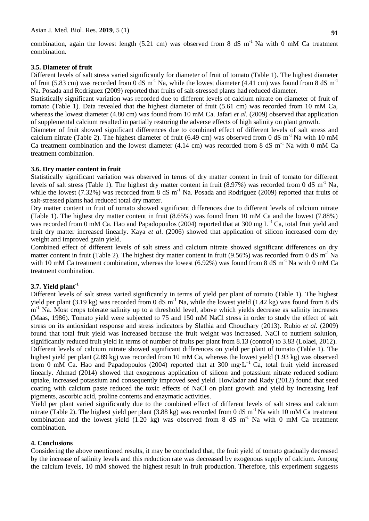combination, again the lowest length (5.21 cm) was observed from 8 dS  $m^{-1}$  Na with 0 mM Ca treatment combination.

#### **3.5. Diameter of fruit**

Different levels of salt stress varied significantly for diameter of fruit of tomato (Table 1). The highest diameter of fruit (5.83 cm) was recorded from 0 dS  $m^{-1}$  Na, while the lowest diameter (4.41 cm) was found from 8 dS  $m^{-1}$ Na. Posada and Rodriguez (2009) reported that fruits of salt-stressed plants had reduced diameter.

Statistically significant variation was recorded due to different levels of calcium nitrate on diameter of fruit of tomato (Table 1). Data revealed that the highest diameter of fruit (5.61 cm) was recorded from 10 mM Ca, whereas the lowest diameter (4.80 cm) was found from 10 mM Ca. Jafari *et al.* (2009) observed that application of supplemental calcium resulted in partially restoring the adverse effects of high salinity on plant growth.

Diameter of fruit showed significant differences due to combined effect of different levels of salt stress and calcium nitrate (Table 2). The highest diameter of fruit (6.49 cm) was observed from 0 dS  $m^{-1}$  Na with 10 mM Ca treatment combination and the lowest diameter  $(4.14 \text{ cm})$  was recorded from 8 dS m<sup>-1</sup> Na with 0 mM Ca treatment combination.

#### **3.6. Dry matter content in fruit**

Statistically significant variation was observed in terms of dry matter content in fruit of tomato for different levels of salt stress (Table 1). The highest dry matter content in fruit (8.97%) was recorded from 0 dS  $m^{-1}$  Na, while the lowest (7.32%) was recorded from 8 dS  $m^{-1}$  Na. Posada and Rodriguez (2009) reported that fruits of salt-stressed plants had reduced total dry matter.

Dry matter content in fruit of tomato showed significant differences due to different levels of calcium nitrate (Table 1). The highest dry matter content in fruit (8.65%) was found from 10 mM Ca and the lowest (7.88%) was recorded from 0 mM Ca. Hao and Papadopoulos (2004) reported that at 300 mg  $L^{-1}$  Ca, total fruit yield and fruit dry matter increased linearly. Kaya *et al*. (2006) showed that application of silicon increased corn dry weight and improved grain yield.

Combined effect of different levels of salt stress and calcium nitrate showed significant differences on dry matter content in fruit (Table 2). The highest dry matter content in fruit (9.56%) was recorded from 0 dS  $m^{-1}$  Na with 10 mM Ca treatment combination, whereas the lowest  $(6.92\%)$  was found from 8 dS m<sup>-1</sup> Na with 0 mM Ca treatment combination.

# **3.7. Yield plant-1**

Different levels of salt stress varied significantly in terms of yield per plant of tomato (Table 1). The highest yield per plant (3.19 kg) was recorded from 0 dS  $m^{-1}$  Na, while the lowest yield (1.42 kg) was found from 8 dS m<sup>-1</sup> Na. Most crops tolerate salinity up to a threshold level, above which yields decrease as salinity increases [\(Maas, 1986\)](http://www.ncbi.nlm.nih.gov/pmc/articles/PMC2682497/#bib25). Tomato yield were subjected to 75 and 150 mM NaCl stress in order to study the effect of salt stress on its antioxidant response and stress indicators by Slathia and Choudhary (2013). Rubio *et al.* (2009) found that total fruit yield was increased because the fruit weight was increased. NaCl to nutrient solution, significantly reduced fruit yield in terms of number of fruits per plant from 8.13 (control) to 3.83 (Lolaei, 2012). Different levels of calcium nitrate showed significant differences on yield per plant of tomato (Table 1). The highest yield per plant (2.89 kg) was recorded from 10 mM Ca, whereas the lowest yield (1.93 kg) was observed from 0 mM Ca. Hao and Papadopoulos (2004) reported that at 300 mg·L<sup>-1</sup> Ca, total fruit yield increased linearly. Ahmad (2014) showed that exogenous application of silicon and potassium nitrate reduced sodium uptake, increased potassium and consequently improved seed yield. Howladar and Rady (2012) found that seed coating with calcium paste reduced the toxic effects of NaCl on plant growth and yield by increasing leaf pigments, ascorbic acid, proline contents and enzymatic activities.

Yield per plant varied significantly due to the combined effect of different levels of salt stress and calcium nitrate (Table 2). The highest yield per plant (3.88 kg) was recorded from 0 dS  $m^{-1}$  Na with 10 mM Ca treatment combination and the lowest yield  $(1.20 \text{ kg})$  was observed from 8 dS m<sup>-1</sup> Na with 0 mM Ca treatment combination.

### **4. Conclusions**

Considering the above mentioned results, it may be concluded that, the fruit yield of tomato gradually decreased by the increase of salinity levels and this reduction rate was decreased by exogenous supply of calcium. Among the calcium levels, 10 mM showed the highest result in fruit production. Therefore, this experiment suggests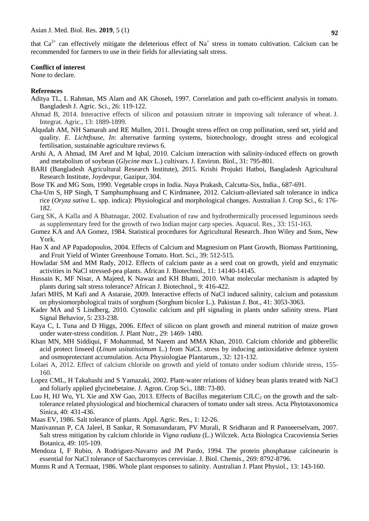that  $Ca^{2+}$  can effectively mitigate the deleterious effect of Na<sup>+</sup> stress in tomato cultivation. Calcium can be recommended for farmers to use in their fields for alleviating salt stress.

### **Conflict of interest**

None to declare.

### **References**

- Aditya TL, L Rahman, MS Alam and AK Ghoseh, 1997. Correlation and path co-efficient analysis in tomato. Bangladesh J. Agric. Sci., 26: 119-122.
- Ahmad B, 2014. Interactive effects of silicon and potassium nitrate in improving salt tolerance of wheat. J. Integrat. Agric., 13: 1889-1899.
- Alqudah AM, NH Samarah and RE Mullen, 2011. Drought stress effect on crop pollination, seed set, yield and quality. *E. Lichtfouse*, *In*: alternative farming systems, biotechnology, drought stress and ecological fertilisation, sustainable agriculture reviews 6.
- Arshi A, A Ahmad, IM Aref and M Iqbal, 2010. Calcium interaction with salinity-induced effects on growth and metabolism of soybean (*Glycine max* L.) cultivars. J. Environ. Biol., 31: 795-801.
- BARI (Bangladesh Agricultural Research Institute), 2015. Krishi Projukti Hatboi, Bangladesh Agricultural Research Institute, Joydevpur, Gazipur, 304.
- Bose TK and MG Som, 1990. Vegetable crops in India. Naya Prakash, Calcutta-Six, India., 687-691.
- Cha-Um S, HP Singh, T Samphumphuang and C Kirdmanee, 2012. Calcium-alleviated salt tolerance in indica rice (*Oryza sativa* L. spp. indica): Physiological and morphological changes. Australian J. Crop Sci., 6: 176- 182.
- Garg SK, A Kalla and A Bhatnagar, 2002. Evaluation of raw and hydrothermically processed leguminous seeds as supplementary feed for the growth of two Indian major carp species. Aquacul. Res., 33: 151-163.
- Gomez KA and AA Gomez, 1984. Statistical procedures for Agricultural Research. Jhon Wiley and Sons, New York.
- Hao X and AP Papadopoulos, 2004. Effects of Calcium and Magnesium on Plant Growth, Biomass Partitioning, and Fruit Yield of Winter Greenhouse Tomato. Hort. Sci., 39: 512-515.
- Howladar SM and MM Rady, 2012. Effects of calcium paste as a seed coat on growth, yield and enzymatic activities in NaCl stressed-pea plants. African J. Biotechnol., 11: 14140-14145.
- Hussain K, MF Nisar, A Majeed, K Nawaz and KH Bhatti, 2010. What molecular mechanism is adapted by plants during salt stress tolerance? African J. Biotechnol., 9: 416-422.
- Jafari MHS, M Kafi and A Astaraie, 2009. Interactive effects of NaCl induced salinity, calcium and potassium on physiomorphological traits of sorghum (Sorghum bicolor L.). Pakistan J. Bot., 41: 3053-3063.
- Kader MA and S Lindberg, 2010. Cytosolic calcium and pH signaling in plants under salinity stress. Plant Signal Behavior, 5: 233-238.
- Kaya C, L Tuna and D Higgs, 2006. Effect of silicon on plant growth and mineral nutrition of maize grown under water-stress condition. J. Plant Nutr., 29: 1469- 1480.
- Khan MN, MH Siddiqui, F Mohammad, M Naeem and MMA Khan, 2010. Calcium chloride and gibberellic acid protect linseed (*Linum usitatissimum* L.) from NaCL stress by inducing antioxidative defence system and osmoprotectant accumulation. [Acta Physiologiae Plantarum.](https://link.springer.com/journal/11738), 32: 121-132.
- Lolaei A, 2012. Effect of calcium chloride on growth and yield of tomato under sodium chloride stress, 155- 160.
- Lopez CML, H Takahashi and S Yamazaki, 2002. Plant-water relations of kidney bean plants treated with NaCl and foliarly applied glycinebetaine. J. Agron. Crop Sci., 188: 73-80.
- Luo H, HJ Wu, YL Xie and XW Gao, 2013. Effects of Bacillus megaterium CJLC<sub>2</sub> on the growth and the salttolerance related physiological and biochemical characters of tomato under salt stress. Acta Phytotaxonomica Sinica, 40: 431-436.
- Maas EV, 1986. Salt tolerance of plants. Appl. Agric. Res., 1: 12-26.
- Manivannan P, CA Jaleel, B Sankar, R Somasundaram, PV Murali, R Sridharan and R Panneerselvam, 2007. Salt stress mitigation by calcium chloride in *Vigna radiata* (L.) Wilczek. Acta Biologica Cracoviensia Series Botanica, 49: 105-109.
- Mendoza I, F Rubio, A Rodriguez-Navarro and JM Pardo, 1994. The protein phosphatase calcineurin is essential for NaCl tolerance of Saccharomyces cerevisiae. J. Biol. Chemis., 269: 8792-8796.
- Munns R and A Termaat, 1986. Whole plant responses to salinity. Australian J. Plant Physiol., 13: 143-160.